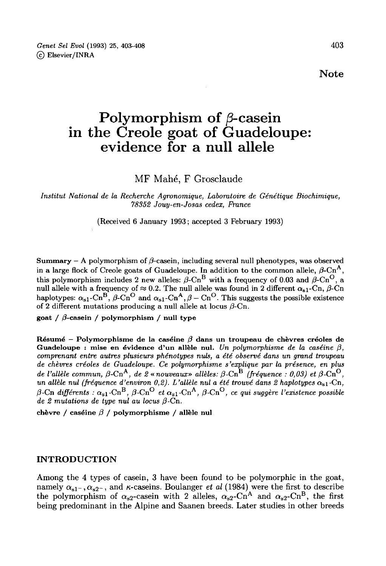Note

# Polymorphism of β-casein in the Creole goat of Guadeloupe: evidence for a null allele

MF Mahé, F Grosclaude

Institut National de la Recherche Agronomique, Laboratoire de Génétique Biochimique, 78352 Jouy-en-Josas cedex, France

(Received 6 January 1993; accepted 3 February 1993)

**Summary** – A polymorphism of  $\beta$ -casein, including several null phenotypes, was observed in a large flock of Creole goats of Guadeloupe. In addition to the common allele,  $\beta$ -Cn<sup>A</sup>, **Summary** – A polymorphism of  $\beta$ -casein, including several null phenotypes, was observed<br>in a large flock of Creole goats of Guadeloupe. In addition to the common allele,  $\beta$ -Cn<sup>A</sup>,<br>this polymorphism includes 2 new all **Summary** – A polymorphism of  $\beta$ -casein, including several null phenotypes, was observed<br>in a large flock of Creole goats of Guadeloupe. In addition to the common allele,  $\beta$ -Cn<sup>A</sup>,<br>this polymorphism includes 2 new all of 2 different mutations producing a null allele at locus  $\beta$ -Cn.

goat /  $\beta$ -casein / polymorphism / null type

Résumé - Polymorphisme de la caséine  $\beta$  dans un troupeau de chèvres créoles de Guadeloupe : mise en évidence d'un allèle nul. Un polymorphisme de la caséine  $\beta$ , comprenant entre autres plusieurs phénotypes nuls, a été observé dans un grand troupeau de chèvres créoles de Guadeloupe. Ce polymorphisme s'explique par la présence, en plus de ae t'allele<br>un allèle n adeloupe : mise en évidence d'un allèle nul. Un polymorphisme de la caséine β,<br>pprenant entre autres plusieurs phénotypes nuls, a été observé dans un grand troupeau<br>chèvres créoles de Guadeloupe. Ce polymorphisme s'expli comprenant entre autres plusieurs phénotypes nuls, a été observé dans un grand troupeau<br>de chèvres créoles de Guadeloupe. Ce polymorphisme s'explique par la présence, en plus<br>de l'allèle commun,  $\beta$ -Cn<sup>A</sup>, de 2 « nouveau de 2 mutations de type nul au locus  $\beta$ -Cn.

chèvre / caséine β / polymorphisme / allèle nul

# INTRODUCTION

Among the 4 types of casein, 3 have been found to be polymorphic in the goat, **INTRODUCTION**<br>Among the 4 types of casein, 3 have been found to be polymorphic in the goat,<br>namely  $\alpha_{s1}$ -,  $\alpha_{s2}$ -, and  $\kappa$ -caseins. Boulanger *et al* (1984) were the first to describe<br>the polymorphism of  $\alpha_{s2}$ **INTRODUCTION**<br>Among the 4 types of casein, 3 have been found to be polymorphic in the goat,<br>namely  $\alpha_{s1}$ ,  $\alpha_{s2}$ , and  $\kappa$ -caseins. Boulanger *et al* (1984) were the first to describe<br>the polymorphism of  $\alpha_{s2}$ -c being predominant in the Alpine and Saanen breeds. Later studies in other breeds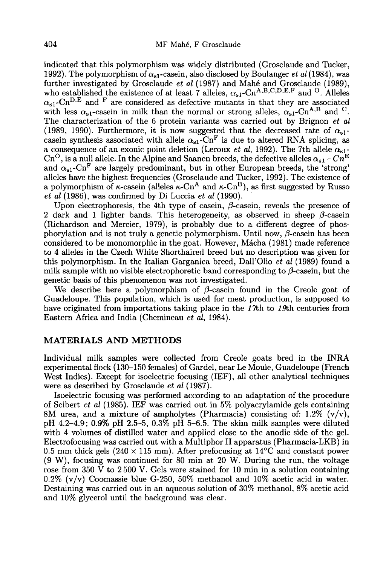indicated that this polymorphism was widely distributed (Grosclaude and Tucker, 1992). The polymorphism of  $\alpha_{s1}$ -casein, also disclosed by Boulanger *et al* (1984), was <sup>194</sup> MF Mahé, F Grosclaude<br>
indicated that this polymorphism was widely distributed (Grosclaude and Tucker,<br>
1992). The polymorphism of  $\alpha_{s1}$ -casein, also disclosed by Boulanger *et al* (1984), was<br>
further investigat 404 MF Mahé, F Grosclaude<br>
indicated that this polymorphism was widely distributed (Grosclaude and Tucker,<br>
1992). The polymorphism of  $\alpha_{s1}$ -casein, also disclosed by Boulanger *et al* (1984), was<br>
further investigated 1992). The polymorphism of  $\alpha_{s1}$ -casein, also disclosed by Boulanger *et al* (1984), was further investigated by Grosclaude *et al* (1987) and Mahé and Grosclaude (1989), who established the existence of at least 7 all with less  $\alpha_{s1}$ -casein in milk than the normal or strong alleles,  $\alpha_{s1}$ -Cn<sup>A,B</sup> and <sup>C</sup>.<br>The characterization of the 6 protein variants was carried out by Brignon *et al* (1989, 1990). Furthermore, it is now suggest with less  $\alpha_{s1}$ -casein in milk than the normal or strong alleles,  $\alpha_{s1}$ -Cn<sup>A,B</sup> and <sup>C</sup>.<br>The characterization of the 6 protein variants was carried out by Brignon *et al*<br>(1989, 1990). Furthermore, it is now suggest The characterization of the 6 protein variants was carried out by Brignon *et al* (1989, 1990). Furthermore, it is now suggested that the decreased rate of  $\alpha_{s1}$ -casein synthesis associated with allele  $\alpha_{s1}$ -Cn<sup>F</sup> i alleles have the highest frequencies (Grosclaude and Tucker, 1992). The existence of a polymorphism of  $\kappa$ -casein (alleles  $\kappa$ -Cn<sup>A</sup> and  $\kappa$ -Cn<sup>B</sup>), as first suggested by Russo a consequence of an external detector (200 and  $\epsilon v$  and  $\alpha$ , 1002). The vertuce  $Cn^E$ <br>Cn<sup>O</sup>, is a null allele. In the Alpine and Saanen breeds, the defective alleles  $\alpha_{s1} - Cn^E$ <br>and  $\alpha_{s1}$ -Cn<sup>F</sup> are largely predomi et al (1986), was confirmed by Di Luccia et al (1990).

Upon electrophoresis, the 4th type of casein,  $\beta$ -casein, reveals the presence of 2 dark and 1 lighter bands. This heterogeneity, as observed in sheep  $\beta$ -casein (Richardson and Mercier, 1979), is probably due to a different degree of phos-<br>phorylation and is not truly a genetic polymorphism. Until now,  $\beta$ -casein has been Upon electrophoresis, the 4th type of casein,  $\beta$ -casein, reveals the presence of 2 dark and 1 lighter bands. This heterogeneity, as observed in sheep  $\beta$ -casein (Richardson and Mercier, 1979), is probably due to a diff to 4 alleles in the Czech White Shorthaired breed but no description was given for this polymorphism. In the Italian Garganica breed, Dall'Olio *et al* (1989) found a milk sample with no visible electrophoretic band corresponding to  $\beta$ -casein, but the genetic basis of this phenomenon was not investiga milk sample with no visible electrophoretic band corresponding to  $\beta$ -casein, but the genetic basis of this phenomenon was not investigated.<br>We describe here a polymorphism of  $\beta$ -casein found in the Creole goat of

Guadeloupe. This population, which is used for meat production, is supposed to have originated from importations taking place in the  $1\pi$ h to  $1\theta$ th centuries from Eastern Africa and India (Chemineau et al, 1984).

# MATERIALS AND METHODS

Individual milk samples were collected from Creole goats bred in the INRA experimental flock (130-150 females) of Gardel, near Le Moule, Guadeloupe (French West Indies). Except for isoelectric focusing (IEF), all other analytical techniques were as described by Grosclaude *et al* (1987).

Isoelectric focusing was performed according to an adaptation of the procedure of Seibert *et al* (1985). IEF was carried out in 5% polyacrylamide gels containing 8M urea, and a mixture of ampholytes (Pharmacia) consisting of: 1.2%  $(v/v)$ , pH 4.2-4.9; 0.9% pH 2.5-5, 0.3% pH 5-6.5. The skim milk samples were diluted with 4 volumes of distilled water and applied close to the anodic side of the gel. Electrofocusing was carried out with a Multiphor II apparatus (Pharmacia-LKB) in 0.5 mm thick gels (240  $\times$  115 mm). After prefocusing at 14<sup>o</sup>C and constant power (9 W), focusing was continued for 80 min at 20 W. During the run, the voltage rose from 350 V to 2500 V. Gels were stained for 10 min in a solution containing  $0.2\%$  (v/v) Coomassie blue G-250, 50% methanol and 10% acetic acid in water. Destaining was carried out in an aqueous solution of 30% methanol, 8% acetic acid and 10% glycerol until the background was clear.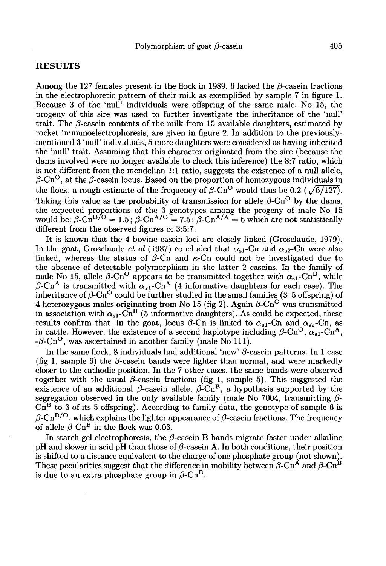# RESULTS

Among the 127 females present in the flock in 1989, 6 lacked the  $\beta$ -casein fractions in the electrophoretic pattern of their milk as exemplified by sample 7 in figure 1.<br>Because 3 of the 'null' individuals were offspring of the same male, No 15, the<br>progeny of this sire was used to further investigate the Because 3 of the 'null' individuals were offspring of the same male, No 15, the progeny of this sire was used to further investigate the inheritance of the 'null' trait. The  $\beta$ -casein contents of the milk from 15 available daughters, estimated by rocket immunoelectrophoresis, are given in figure 2. In addition to the previouslymentioned 3 'null' individuals, 5 more daughters were considered as having inherited the 'null' trait. Assuming that this character originated from the sire (because the dams involved were no longer available to check this inference) the 8:7 ratio, which is not different from the mendelian 1:1 ratio, suggests the existence of a null allele,  $\beta$ -Cn<sup>O</sup>, at the  $\beta$ -casein locus. Based on the proportion of homozygous individuals in the 'null' trait. Assuming that this character originated from the sire (because the dams involved were no longer available to check this inference) the 8:7 ratio, which is not different from the mendelian 1:1 ratio, sugg Taking this value as the probability of transmission for allele  $\beta$ -Cn<sup>O</sup> by the dams, the expected proportions of the 3 genotypes among the progeny of male No 15 b-on , as the p-classification between the proportion of homozygous individuals in<br>the flock, a rough estimate of the frequency of  $\beta$ -Cn<sup>O</sup> would thus be 0.2 ( $\sqrt{6/127}$ ).<br>Taking this value as the probability of transm different from the observed figures of 3:5:7.

It is known that the 4 bovine casein loci are closely linked (Grosclaude, 1979). In the goat, Grosclaude *et al* (1987) concluded that  $\alpha_{s1}$ -Cn and  $\alpha_{s2}$ -Cn were also linked, whereas the status of  $\beta$ -Cn and  $\kappa$ -Cn could not be investigated due to the absence of detectable polymorphism in the latter 2 caseins. In the family of It is known that the 4 bovine casein loci are closely linked (Grosclaude, 1979).<br>In the goat, Grosclaude *et al* (1987) concluded that  $\alpha_{s1}$ -Cn and  $\alpha_{s2}$ -Cn were also<br>linked, whereas the status of  $\beta$ -Cn and  $\kappa$ in the goat, Grosciallac et at (1987) concluded that  $\alpha_{s1}$ -Cn and  $\alpha_{s2}$ -Cn were also<br>linked, whereas the status of  $\beta$ -Cn and  $\kappa$ -Cn could not be investigated due to<br>the absence of detectable polymorphism in the linked, whereas the status of  $\beta$ -Cn and  $\kappa$ -Cn could not be investigated due to<br>the absence of detectable polymorphism in the latter 2 caseins. In the family of<br>male No 15, allele  $\beta$ -Cn<sup>O</sup> appears to be transmitted 4 heterozygous males originating from No 15 (fig 2). Again  $\beta$ -Cn<sup>O</sup> was transmitted  $\beta$ -Cn<sup>A</sup> is transmitted with  $\alpha_{s1}$ -Cn<sup>A</sup> (4 informative daughters for each case). The inheritance of  $\beta$ -Cn<sup>O</sup> could be further studied in the small families (3–5 offspring) of 4 heterozygous males originating from inheritance of  $\beta$ -Cn<sup>O</sup> could be further studied in the small families (3-5 offspring) of 4 heterozygous males originating from No 15 (fig 2). Again  $\beta$ -Cn<sup>O</sup> was transmitted in association with  $\alpha_{s1}$ -Cn<sup>B</sup> (5 infor  $-\beta$ -Cn<sup>O</sup>, was ascertained in another family (male No 1 in cattle. However, the existence of a second haplotype

In the same flock, 8 individuals had additional 'new'  $\beta$ -casein patterns. In 1 case (fig 1, sample 6) the  $\beta$ -casein bands were lighter than normal, and were markedly closer to the cathodic position. In the 7 other cases, the same bands were observed together with the usual  $\beta$ -casein fractions (fig 1, sample 5). This suggested the existence of an additional  $\beta$ -casein allele,  $\beta$ -Cn<sup>B</sup>, a hypothesis supported by the segregation observed in the only available family (male No 7004, transmitting  $\beta$ - $\overline{\text{Cn}}^B$  to 3 of its 5 offspring). According to family data, the genotype of sample 6 is together with the usual  $\beta$ -casein fractions (fig 1, sample 5). This suggested the existence of an additional  $\beta$ -casein allele,  $\beta$ -Cn<sup>B</sup>, a hypothesis supported by the segregation observed in the only available famil

In starch gel electrophoresis, the  $\beta$ -casein B bands migrate faster under alkaline pH and slower in acid pH than those of  $\beta$ -casein A. In both conditions, their position is shifted to a distance equivalent to the charge of one phosphate group (not shown). In staten ger electrophotesis, the p-case in B bands ingrate raster dider and<br>anti-<br>pH and slower in acid pH than those of  $\beta$ -casein A. In both conditions, their position<br>is shifted to a distance equivalent to the charg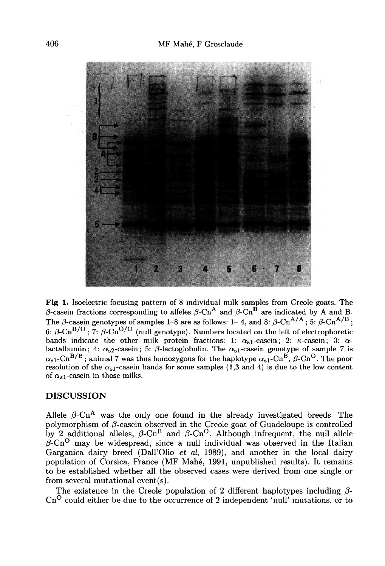

Fig 1. Isoelectric focusing pattern of 8 individual milk samples from Creole goats. The  $\beta$ -casein fractions corresponding to alleles  $\beta$ -Cn<sup>A</sup> and  $\beta$ -Cn<sup>B</sup> are indicated by A and B. The  $\beta$ -casein genotypes of samples 1-8 are as follows: 1-4, and 8:  $\beta$ -Cn<sup>A/A</sup>; 5:  $\beta$ -Cn<sup>A/B</sup>; 6:  $\beta$ -Cn<sup>B/O</sup>; 7:  $\beta$ -Cn<sup>O/O</sup> (null genotype). Numbers located on the left of electrophoretic bands indicate the other milk protein fractions: 1:  $\alpha_{s1}$ -casein; 2:  $\kappa$ -casein; 3:  $\alpha$ lactalbumin; 4:  $\alpha_{s2}$ -casein; 5:  $\beta$ -lactoglobulin. The  $\alpha_{s1}$ -casein genotype of sample 7 is  $\alpha_{s1}$ -Cn<sup>B/B</sup>; animal 7 was thus homozygous for the haplotype  $\alpha_{s1}$ -Cn<sup>B</sup>,  $\beta$ -Cn<sup>O</sup>. The poor resolution of the  $\alpha_{s1}$ -casein bands for some samples (1,3 and 4) is due to the low content of  $\alpha_{s1}$ -casein in those milks.

#### DISCUSSION

Allele  $\beta$ -Cn<sup>A</sup> was the only one found in the already investigated breeds. The polymorphism of  $\beta$ -casein observed in the Creole goat of Guadeloupe is controlled by 2 additional alleles,  $\beta$ -Cn<sup>B</sup> and  $\beta$ -Cn<sup>O</sup>. Although infrequent, the null allele  $\beta$ -Cn<sup>O</sup> may be widespread, since a null individual was observed in the Italian Garganica dairy breed (Dall'Olio et al. 1989), and another in the local dairy population of Corsica, France (MF Mahé, 1991, unpublished results). It remains to be established whether all the observed cases were derived from one single or from several mutational event(s).

The existence in the Creole population of 2 different haplotypes including  $\beta$ - $Cn^O$  could either be due to the occurrence of 2 independent 'null' mutations, or to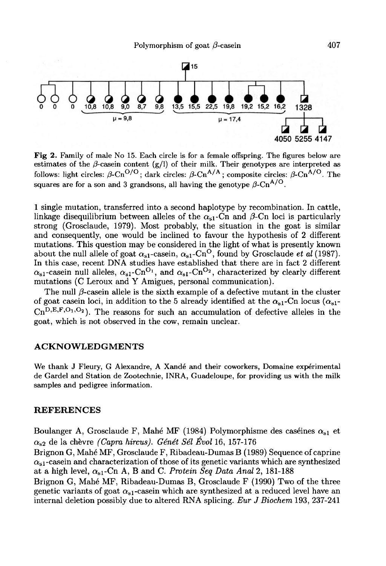

Fig 2. Family of male No 15. Each circle is for a female offspring. The figures below are estimates of the  $\beta$ -casein content (g/l) of their milk. Their genotypes are interpreted as follows: light circles:  $\beta$ -Cn<sup>O/O</sup>; dark circles:  $\beta$ -Cn<sup>A/A</sup>; composite circles:  $\beta$ -Cn<sup>A/O</sup>. The squares are for a son and 3 grandsons, all having the genotype  $\beta$ -Cn<sup>A/O</sup>.

1 single mutation, transferred into a second haplotype by recombination. In cattle, linkage disequilibrium between alleles of the  $\alpha_{s1}$ -Cn and  $\beta$ -Cn loci is particularly strong (Grosclaude, 1979). Most probably, the situation in the goat is similar and consequently, one would be inclined to favour the hypothesis of 2 different mutations. This question may be considered in the light of what is presently known I single mutation, transferred into a second napiotype by recombination. In cattle,<br>linkage disequilibrium between alleles of the  $\alpha_{s1}$ -Cn and  $\beta$ -Cn loci is particularly<br>strong (Grosclaude, 1979). Most probably, the and consequently, one would be inclined to favour the hypothesis of 2 different mutations. This question may be considered in the light of what is presently known about the null allele of goat  $\alpha_{s1}$ -casein,  $\alpha_{s1}$ -Cn In this case, recent DNA studies have established that there are in fact 2 different mutations (C Leroux and Y Amigues, personal communication).  $\alpha_{s1}$ -casein null alleles,  $\alpha_{s1}$ -Cn<sup>O<sub>1</sub></sup>, and  $\alpha_{s1}$ -Cn<sup>O<sub>2</sub></sup>, characterized by clearly different mutations (C Leroux and Y Amigues, personal communication).<br>The null  $\beta$ -casein allele is the sixth example of a

 $\alpha_{s1}$ -casein lith aneles,  $\alpha_{s1}$ -Cn<sup>-+</sup>, and  $\alpha_{s1}$ -Cn<sup>-+</sup>, characterized by clearly different mutations (C Leroux and Y Amigues, personal communication).<br>The null  $\beta$ -casein allele is the sixth example of a defec goat, which is not observed in the cow, remain unclear.

# ACKNOWLEDGMENTS

We thank J Fleury, G Alexandre, A Xandé and their coworkers, Domaine experimental de Gardel and Station de Zootechnie, INRA, Guadeloupe, for providing us with the milk samples and pedigree information.

#### REFERENCES

Boulanger A, Grosclaude F, Mahé MF (1984) Polymorphisme des caséines  $\alpha_{s1}$  et Boulanger A, Grosciaude F, Malie MF (1964) Folymorphis<br> $\alpha_{s2}$  de la chèvre *(Capra hircus). Génét Sél Évol* 16, 157-176

 $\alpha_{s2}$  de la chevre *(Capra nircus).* Genet Set Evot 16, 157-176<br>Brignon G, Mahé MF, Grosclaude F, Ribadeau-Dumas B (1989) Sequence of caprine<br> $\alpha_{s1}$ -casein and characterization of those of its genetic variants which Boulanger<br> $\alpha_{\rm s2}$  de la e<br>Brignon G<br> $\alpha_{\rm s1}$ -casein<br>at a high at a high level,  $\alpha_{s1}$ -Cn A, B and C. Protein Seq Data Anal 2, 181-188

Brignon G, Mahé MF, Ribadeau-Dumas B, Grosclaude F (1990) Two of the three genetic variants of goat  $\alpha_{s1}$ -casein which are synthesized at a reduced level have an internal deletion possibly due to altered RNA splicing. Eur J Biochem 193, 237-241